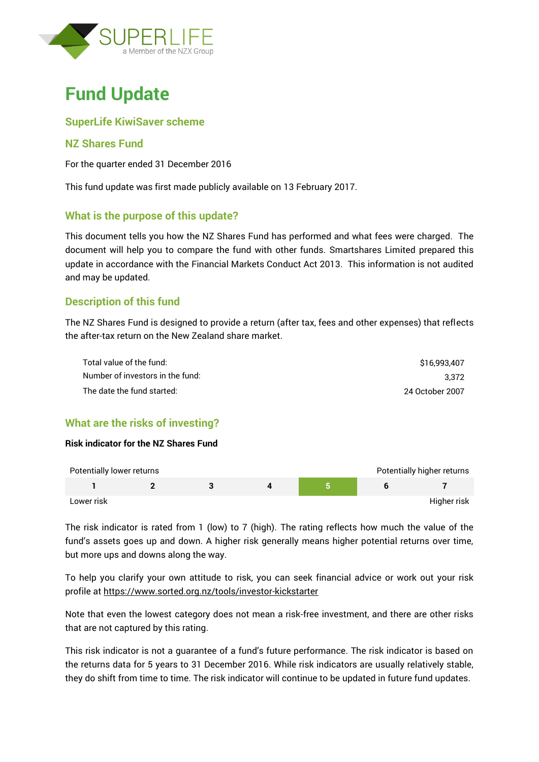

# **Fund Update**

## **SuperLife KiwiSaver scheme**

## **NZ Shares Fund**

For the quarter ended 31 December 2016

This fund update was first made publicly available on 13 February 2017.

#### **What is the purpose of this update?**

This document tells you how the NZ Shares Fund has performed and what fees were charged. The document will help you to compare the fund with other funds. Smartshares Limited prepared this update in accordance with the Financial Markets Conduct Act 2013. This information is not audited and may be updated.

# **Description of this fund**

The NZ Shares Fund is designed to provide a return (after tax, fees and other expenses) that reflects the after-tax return on the New Zealand share market.

| Total value of the fund:         | \$16,993,407    |
|----------------------------------|-----------------|
| Number of investors in the fund: | 3.372           |
| The date the fund started:       | 24 October 2007 |

# **What are the risks of investing?**

#### **Risk indicator for the NZ Shares Fund**

| Potentially lower returns |  |  | Potentially higher returns |
|---------------------------|--|--|----------------------------|
|                           |  |  |                            |
| Lower risk                |  |  | Higher risk                |

The risk indicator is rated from 1 (low) to 7 (high). The rating reflects how much the value of the fund's assets goes up and down. A higher risk generally means higher potential returns over time, but more ups and downs along the way.

To help you clarify your own attitude to risk, you can seek financial advice or work out your risk profile at<https://www.sorted.org.nz/tools/investor-kickstarter>

Note that even the lowest category does not mean a risk-free investment, and there are other risks that are not captured by this rating.

This risk indicator is not a guarantee of a fund's future performance. The risk indicator is based on the returns data for 5 years to 31 December 2016. While risk indicators are usually relatively stable, they do shift from time to time. The risk indicator will continue to be updated in future fund updates.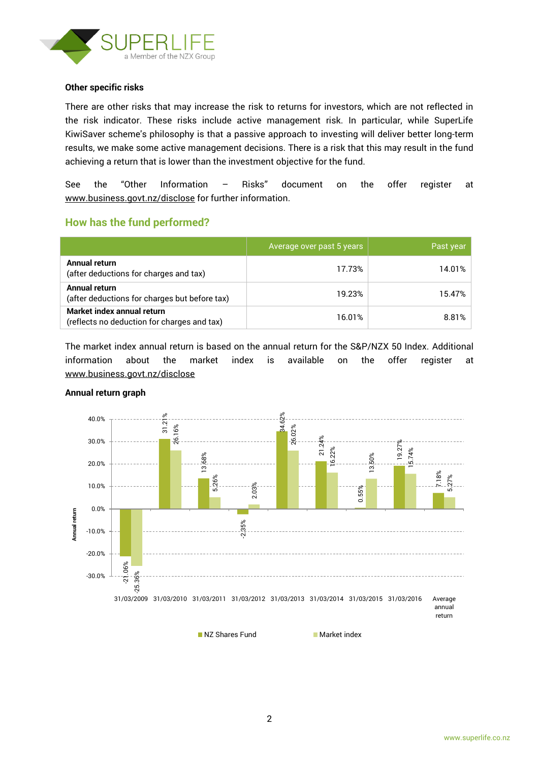

#### **Other specific risks**

There are other risks that may increase the risk to returns for investors, which are not reflected in the risk indicator. These risks include active management risk. In particular, while SuperLife KiwiSaver scheme's philosophy is that a passive approach to investing will deliver better long-term results, we make some active management decisions. There is a risk that this may result in the fund achieving a return that is lower than the investment objective for the fund.

See the "Other Information – Risks" document on the offer register at www.business.govt.nz/disclose for further information.

#### **How has the fund performed?**

|                                                                           | Average over past 5 years | Past year |
|---------------------------------------------------------------------------|---------------------------|-----------|
| Annual return<br>(after deductions for charges and tax)                   | 17.73%                    | 14.01%    |
| <b>Annual return</b><br>(after deductions for charges but before tax)     | 19.23%                    | 15.47%    |
| Market index annual return<br>(reflects no deduction for charges and tax) | 16.01%                    | 8.81%     |

The market index annual return is based on the annual return for the S&P/NZX 50 Index. Additional information about the market index is available on the offer register at [www.business.govt.nz/disclose](http://www.business.govt.nz/disclose)



#### **Annual return graph**

NZ Shares Fund Market index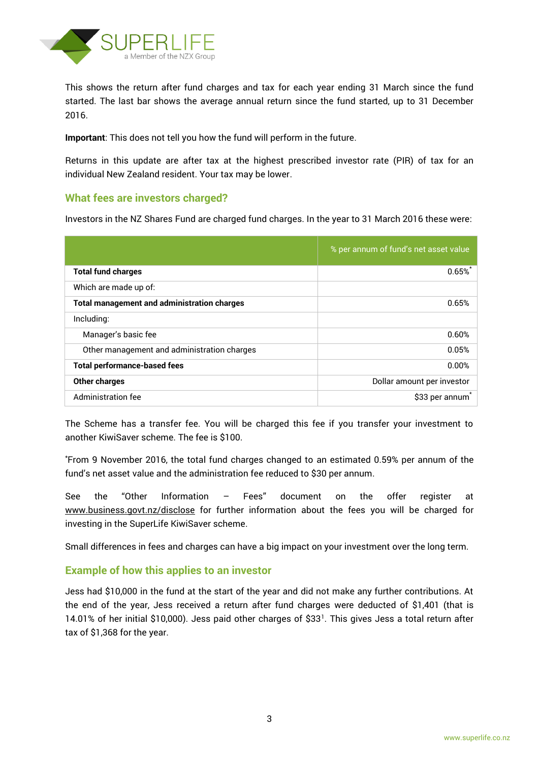

This shows the return after fund charges and tax for each year ending 31 March since the fund started. The last bar shows the average annual return since the fund started, up to 31 December 2016.

**Important**: This does not tell you how the fund will perform in the future.

Returns in this update are after tax at the highest prescribed investor rate (PIR) of tax for an individual New Zealand resident. Your tax may be lower.

#### **What fees are investors charged?**

Investors in the NZ Shares Fund are charged fund charges. In the year to 31 March 2016 these were:

|                                                    | % per annum of fund's net asset value |
|----------------------------------------------------|---------------------------------------|
| <b>Total fund charges</b>                          | $0.65\%$                              |
| Which are made up of:                              |                                       |
| <b>Total management and administration charges</b> | 0.65%                                 |
| Including:                                         |                                       |
| Manager's basic fee                                | 0.60%                                 |
| Other management and administration charges        | 0.05%                                 |
| <b>Total performance-based fees</b>                | 0.00%                                 |
| Other charges                                      | Dollar amount per investor            |
| Administration fee                                 | \$33 per annum <sup>*</sup>           |

The Scheme has a transfer fee. You will be charged this fee if you transfer your investment to another KiwiSaver scheme. The fee is \$100.

\*From 9 November 2016, the total fund charges changed to an estimated 0.59% per annum of the fund's net asset value and the administration fee reduced to \$30 per annum.

See the "Other Information – Fees" document on the offer register at www.business.govt.nz/disclose for further information about the fees you will be charged for investing in the SuperLife KiwiSaver scheme.

Small differences in fees and charges can have a big impact on your investment over the long term.

#### **Example of how this applies to an investor**

Jess had \$10,000 in the fund at the start of the year and did not make any further contributions. At the end of the year, Jess received a return after fund charges were deducted of \$1,401 (that is 14.01% of her initial \$10,000). Jess paid other charges of \$33<sup>1</sup> . This gives Jess a total return after tax of \$1,368 for the year.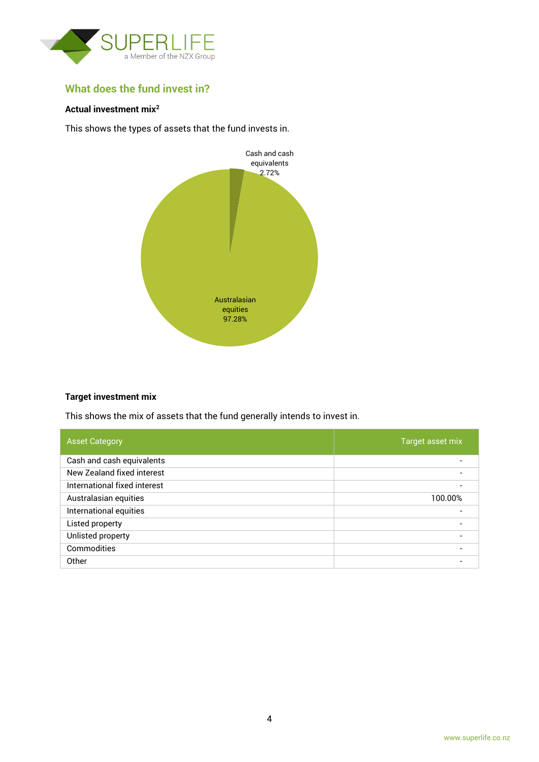

# **What does the fund invest in?**

#### **Actual investment mix<sup>2</sup>**

This shows the types of assets that the fund invests in.



#### **Target investment mix**

This shows the mix of assets that the fund generally intends to invest in.

| <b>Asset Category</b>        | Target asset mix |
|------------------------------|------------------|
| Cash and cash equivalents    |                  |
| New Zealand fixed interest   |                  |
| International fixed interest |                  |
| Australasian equities        | 100.00%          |
| International equities       |                  |
| Listed property              |                  |
| Unlisted property            |                  |
| Commodities                  |                  |
| Other                        |                  |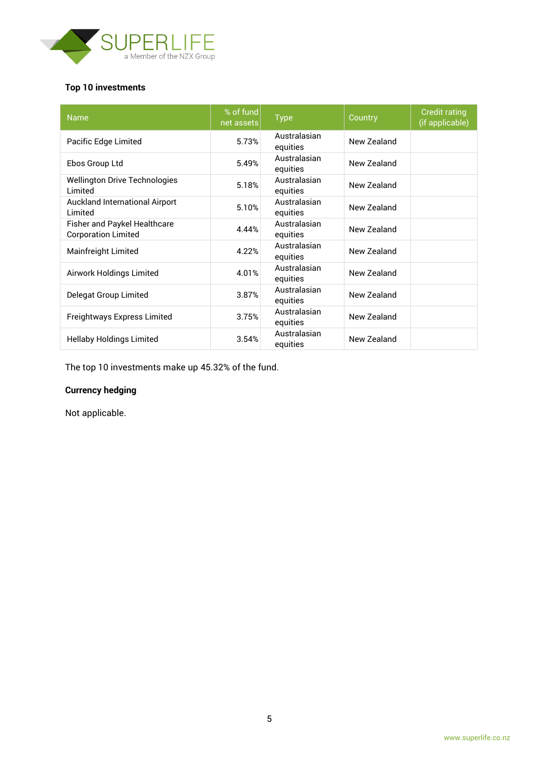

# **Top 10 investments**

| <b>Name</b>                                                | % of fund<br>net assets | <b>Type</b>              | Country     | <b>Credit rating</b><br>(if applicable) |
|------------------------------------------------------------|-------------------------|--------------------------|-------------|-----------------------------------------|
| Pacific Edge Limited                                       | 5.73%                   | Australasian<br>equities | New Zealand |                                         |
| Ebos Group Ltd                                             | 5.49%                   | Australasian<br>equities | New Zealand |                                         |
| <b>Wellington Drive Technologies</b><br>Limited            | 5.18%                   | Australasian<br>equities | New Zealand |                                         |
| <b>Auckland International Airport</b><br>Limited           | 5.10%                   | Australasian<br>equities | New Zealand |                                         |
| Fisher and Paykel Healthcare<br><b>Corporation Limited</b> | 4.44%                   | Australasian<br>equities | New Zealand |                                         |
| Mainfreight Limited                                        | 4.22%                   | Australasian<br>equities | New Zealand |                                         |
| Airwork Holdings Limited                                   | 4.01%                   | Australasian<br>equities | New Zealand |                                         |
| Delegat Group Limited                                      | 3.87%                   | Australasian<br>equities | New Zealand |                                         |
| Freightways Express Limited                                | 3.75%                   | Australasian<br>equities | New Zealand |                                         |
| <b>Hellaby Holdings Limited</b>                            | 3.54%                   | Australasian<br>equities | New Zealand |                                         |

The top 10 investments make up 45.32% of the fund.

# **Currency hedging**

Not applicable.